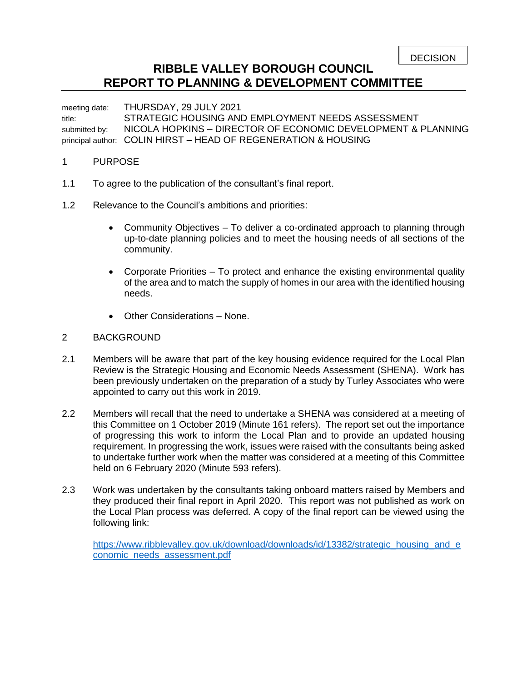# **RIBBLE VALLEY BOROUGH COUNCIL REPORT TO PLANNING & DEVELOPMENT COMMITTEE**

meeting date: THURSDAY, 29 JULY 2021

title: STRATEGIC HOUSING AND EMPLOYMENT NEEDS ASSESSMENT submitted by: NICOLA HOPKINS – DIRECTOR OF ECONOMIC DEVELOPMENT & PLANNING principal author: COLIN HIRST – HEAD OF REGENERATION & HOUSING

#### 1 PURPOSE

- 1.1 To agree to the publication of the consultant's final report.
- 1.2 Relevance to the Council's ambitions and priorities:
	- Community Objectives To deliver a co-ordinated approach to planning through up-to-date planning policies and to meet the housing needs of all sections of the community.
	- Corporate Priorities To protect and enhance the existing environmental quality of the area and to match the supply of homes in our area with the identified housing needs.
	- Other Considerations None.

#### 2 BACKGROUND

- 2.1 Members will be aware that part of the key housing evidence required for the Local Plan Review is the Strategic Housing and Economic Needs Assessment (SHENA). Work has been previously undertaken on the preparation of a study by Turley Associates who were appointed to carry out this work in 2019.
- 2.2 Members will recall that the need to undertake a SHENA was considered at a meeting of this Committee on 1 October 2019 (Minute 161 refers). The report set out the importance of progressing this work to inform the Local Plan and to provide an updated housing requirement. In progressing the work, issues were raised with the consultants being asked to undertake further work when the matter was considered at a meeting of this Committee held on 6 February 2020 (Minute 593 refers).
- 2.3 Work was undertaken by the consultants taking onboard matters raised by Members and they produced their final report in April 2020. This report was not published as work on the Local Plan process was deferred. A copy of the final report can be viewed using the following link:

[https://www.ribblevalley.gov.uk/download/downloads/id/13382/strategic\\_housing\\_and\\_e](https://www.ribblevalley.gov.uk/download/downloads/id/13382/strategic_housing_and_economic_needs_assessment.pdf) [conomic\\_needs\\_assessment.pdf](https://www.ribblevalley.gov.uk/download/downloads/id/13382/strategic_housing_and_economic_needs_assessment.pdf)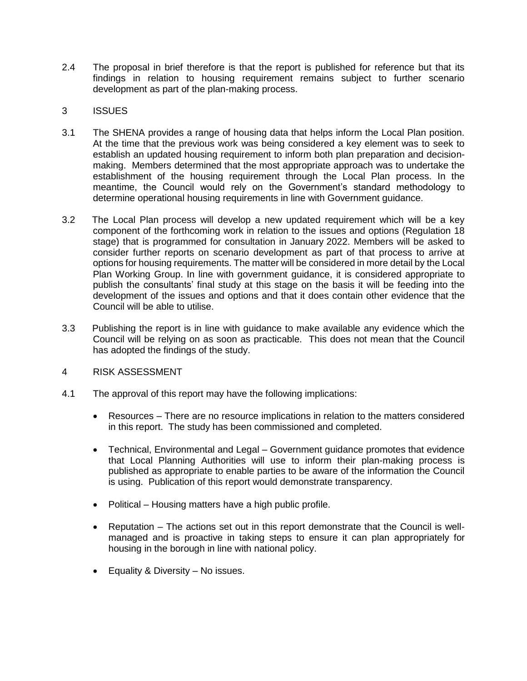2.4 The proposal in brief therefore is that the report is published for reference but that its findings in relation to housing requirement remains subject to further scenario development as part of the plan-making process.

## 3 ISSUES

- 3.1 The SHENA provides a range of housing data that helps inform the Local Plan position. At the time that the previous work was being considered a key element was to seek to establish an updated housing requirement to inform both plan preparation and decisionmaking. Members determined that the most appropriate approach was to undertake the establishment of the housing requirement through the Local Plan process. In the meantime, the Council would rely on the Government's standard methodology to determine operational housing requirements in line with Government guidance.
- 3.2 The Local Plan process will develop a new updated requirement which will be a key component of the forthcoming work in relation to the issues and options (Regulation 18 stage) that is programmed for consultation in January 2022. Members will be asked to consider further reports on scenario development as part of that process to arrive at options for housing requirements. The matter will be considered in more detail by the Local Plan Working Group. In line with government guidance, it is considered appropriate to publish the consultants' final study at this stage on the basis it will be feeding into the development of the issues and options and that it does contain other evidence that the Council will be able to utilise.
- 3.3 Publishing the report is in line with guidance to make available any evidence which the Council will be relying on as soon as practicable. This does not mean that the Council has adopted the findings of the study.
- 4 RISK ASSESSMENT
- 4.1 The approval of this report may have the following implications:
	- Resources There are no resource implications in relation to the matters considered in this report. The study has been commissioned and completed.
	- Technical, Environmental and Legal Government guidance promotes that evidence that Local Planning Authorities will use to inform their plan-making process is published as appropriate to enable parties to be aware of the information the Council is using. Publication of this report would demonstrate transparency.
	- Political Housing matters have a high public profile.
	- Reputation The actions set out in this report demonstrate that the Council is wellmanaged and is proactive in taking steps to ensure it can plan appropriately for housing in the borough in line with national policy.
	- Equality & Diversity No issues.